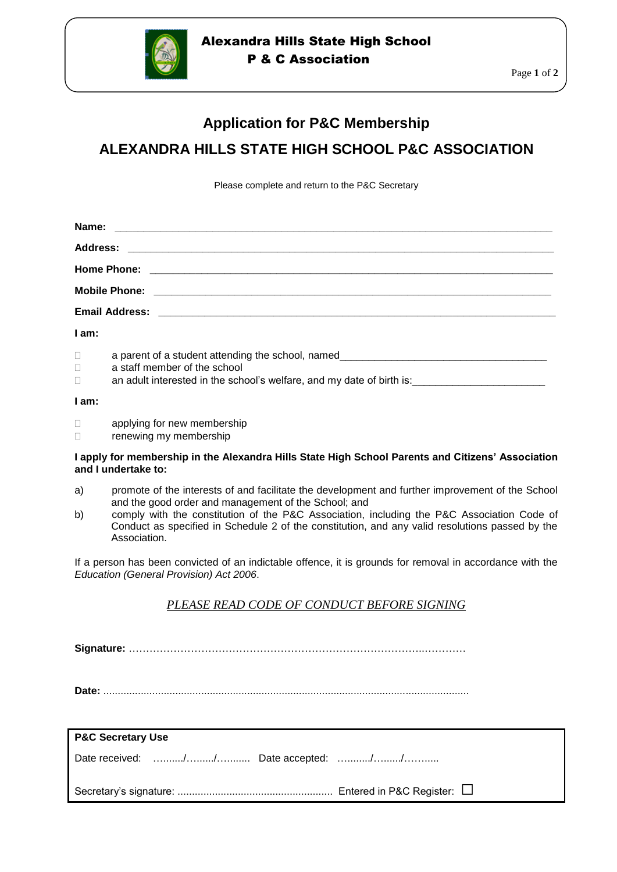

## Alexandra Hills State High School P & C Association

# **Application for P&C Membership ALEXANDRA HILLS STATE HIGH SCHOOL P&C ASSOCIATION**

Please complete and return to the P&C Secretary

| I am:                      |                              |  |
|----------------------------|------------------------------|--|
| $\Box$<br>$\Box$<br>$\Box$ | a staff member of the school |  |

#### **I am:**

- **Example 1** applying for new membership
- **Example 12** renewing my membership

#### **I apply for membership in the Alexandra Hills State High School Parents and Citizens' Association and I undertake to:**

- a) promote of the interests of and facilitate the development and further improvement of the School and the good order and management of the School; and
- b) comply with the constitution of the P&C Association, including the P&C Association Code of Conduct as specified in Schedule 2 of the constitution, and any valid resolutions passed by the Association.

If a person has been convicted of an indictable offence, it is grounds for removal in accordance with the *Education (General Provision) Act 2006*.

## *PLEASE READ CODE OF CONDUCT BEFORE SIGNING*

**Signature:** …………………………………………………………………………..…………

**Date:** ...............................................................................................................................

| <b>P&amp;C Secretary Use</b>        |  |  |  |
|-------------------------------------|--|--|--|
| Date received: // Date accepted: // |  |  |  |
|                                     |  |  |  |